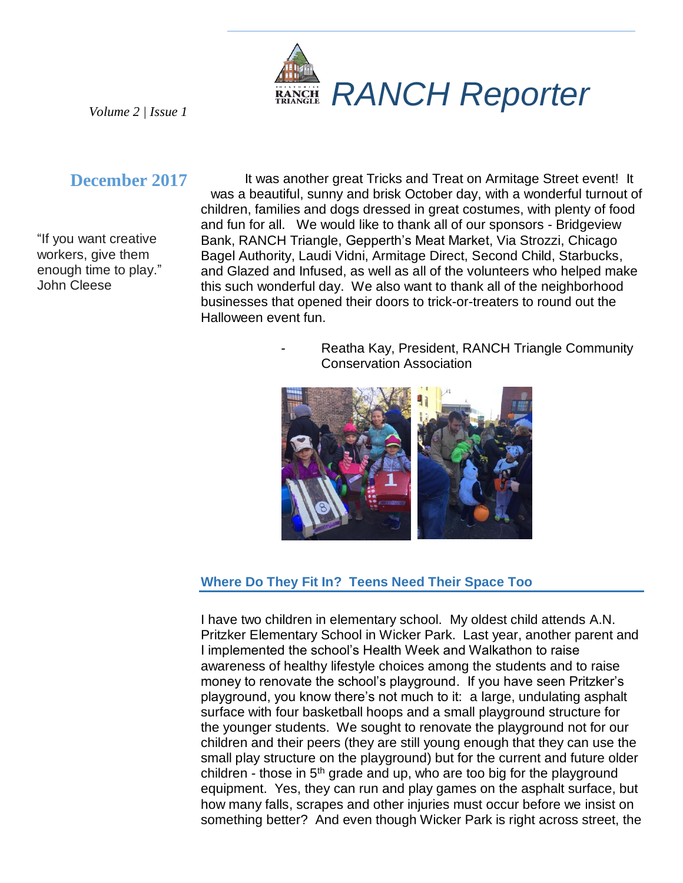

*Volume 2 | Issue 1*

# **December 2017**

"If you want creative workers, give them enough time to play." John Cleese

It was another great Tricks and Treat on Armitage Street event! It was a beautiful, sunny and brisk October day, with a wonderful turnout of children, families and dogs dressed in great costumes, with plenty of food and fun for all. We would like to thank all of our sponsors - Bridgeview Bank, RANCH Triangle, Gepperth's Meat Market, Via Strozzi, Chicago Bagel Authority, Laudi Vidni, Armitage Direct, Second Child, Starbucks, and Glazed and Infused, as well as all of the volunteers who helped make this such wonderful day. We also want to thank all of the neighborhood businesses that opened their doors to trick-or-treaters to round out the Halloween event fun.

> Reatha Kay, President, RANCH Triangle Community Conservation Association



## **Where Do They Fit In? Teens Need Their Space Too**

I have two children in elementary school. My oldest child attends A.N. Pritzker Elementary School in Wicker Park. Last year, another parent and I implemented the school's Health Week and Walkathon to raise awareness of healthy lifestyle choices among the students and to raise money to renovate the school's playground. If you have seen Pritzker's playground, you know there's not much to it: a large, undulating asphalt surface with four basketball hoops and a small playground structure for the younger students. We sought to renovate the playground not for our children and their peers (they are still young enough that they can use the small play structure on the playground) but for the current and future older children - those in  $5<sup>th</sup>$  grade and up, who are too big for the playground equipment. Yes, they can run and play games on the asphalt surface, but how many falls, scrapes and other injuries must occur before we insist on something better? And even though Wicker Park is right across street, the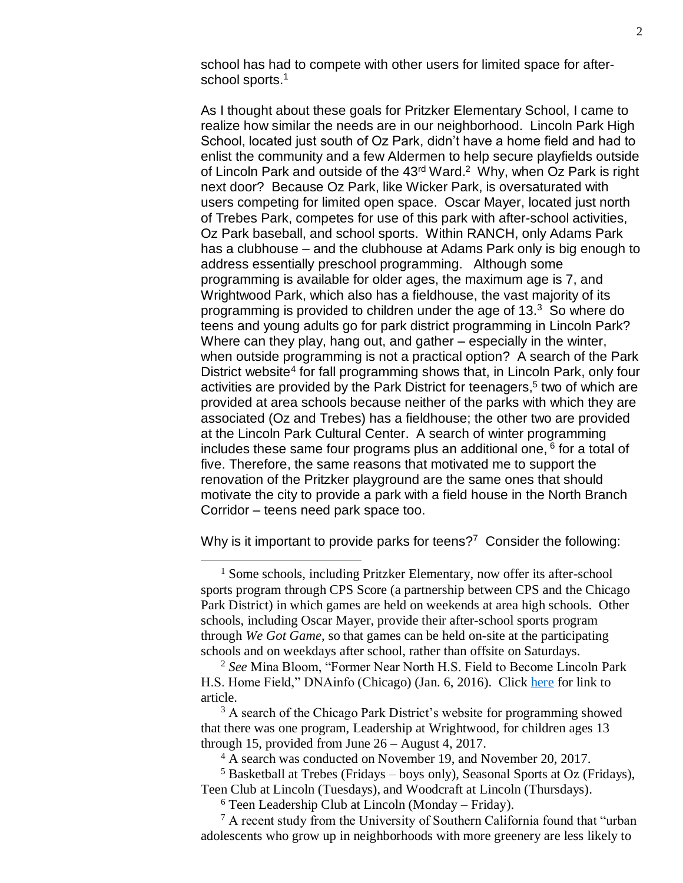school has had to compete with other users for limited space for afterschool sports.<sup>1</sup>

As I thought about these goals for Pritzker Elementary School, I came to realize how similar the needs are in our neighborhood. Lincoln Park High School, located just south of Oz Park, didn't have a home field and had to enlist the community and a few Aldermen to help secure playfields outside of Lincoln Park and outside of the 43<sup>rd</sup> Ward.<sup>2</sup> Why, when Oz Park is right next door? Because Oz Park, like Wicker Park, is oversaturated with users competing for limited open space. Oscar Mayer, located just north of Trebes Park, competes for use of this park with after-school activities, Oz Park baseball, and school sports. Within RANCH, only Adams Park has a clubhouse – and the clubhouse at Adams Park only is big enough to address essentially preschool programming. Although some programming is available for older ages, the maximum age is 7, and Wrightwood Park, which also has a fieldhouse, the vast majority of its programming is provided to children under the age of 13. $3$  So where do teens and young adults go for park district programming in Lincoln Park? Where can they play, hang out, and gather – especially in the winter, when outside programming is not a practical option? A search of the Park District website<sup>4</sup> for fall programming shows that, in Lincoln Park, only four activities are provided by the Park District for teenagers, 5 two of which are provided at area schools because neither of the parks with which they are associated (Oz and Trebes) has a fieldhouse; the other two are provided at the Lincoln Park Cultural Center. A search of winter programming includes these same four programs plus an additional one, <sup>6</sup> for a total of five. Therefore, the same reasons that motivated me to support the renovation of the Pritzker playground are the same ones that should motivate the city to provide a park with a field house in the North Branch Corridor – teens need park space too.

Why is it important to provide parks for teens?<sup>7</sup> Consider the following:

 $\overline{a}$ 

<sup>3</sup> A search of the Chicago Park District's website for programming showed that there was one program, Leadership at Wrightwood, for children ages 13 through 15, provided from June 26 – August 4, 2017.

 $6$  Teen Leadership Club at Lincoln (Monday – Friday).

<sup>7</sup> A recent study from the University of Southern California found that "urban adolescents who grow up in neighborhoods with more greenery are less likely to

<sup>&</sup>lt;sup>1</sup> Some schools, including Pritzker Elementary, now offer its after-school sports program through CPS Score (a partnership between CPS and the Chicago Park District) in which games are held on weekends at area high schools. Other schools, including Oscar Mayer, provide their after-school sports program through *We Got Game*, so that games can be held on-site at the participating schools and on weekdays after school, rather than offsite on Saturdays.

<sup>2</sup> *See* Mina Bloom, "Former Near North H.S. Field to Become Lincoln Park H.S. Home Field," DNAinfo (Chicago) (Jan. 6, 2016). Click [here](https://www.dnainfo.com/chicago/20160106/lincoln-park/former-near-north-career-metro-high-school-field-see-new-life) for link to article.

<sup>&</sup>lt;sup>4</sup> A search was conducted on November 19, and November 20, 2017.

<sup>5</sup> Basketball at Trebes (Fridays – boys only), Seasonal Sports at Oz (Fridays), Teen Club at Lincoln (Tuesdays), and Woodcraft at Lincoln (Thursdays).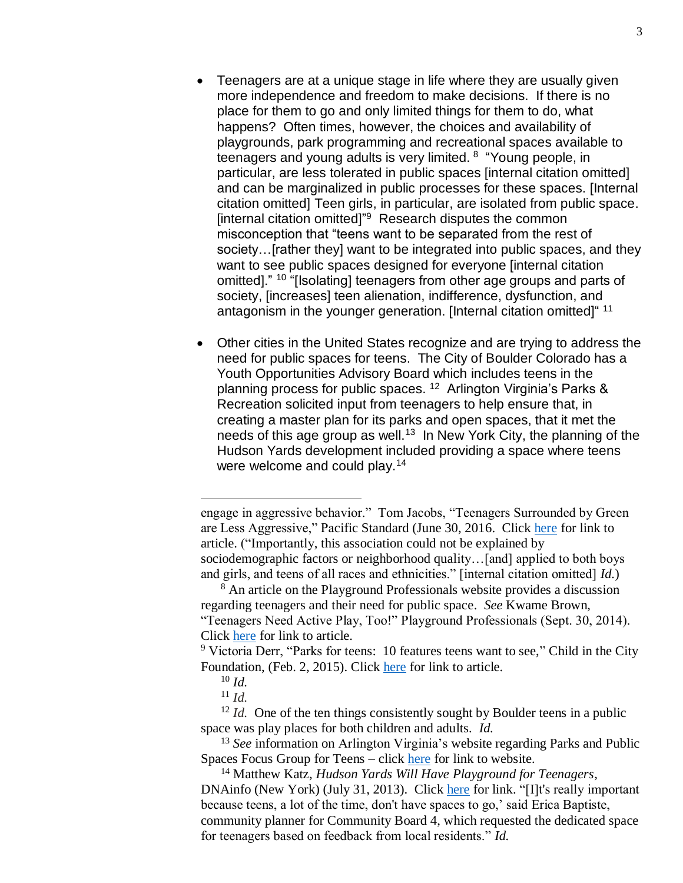- Teenagers are at a unique stage in life where they are usually given more independence and freedom to make decisions. If there is no place for them to go and only limited things for them to do, what happens? Often times, however, the choices and availability of playgrounds, park programming and recreational spaces available to teenagers and young adults is very limited. <sup>8</sup> "Young people, in particular, are less tolerated in public spaces [internal citation omitted] and can be marginalized in public processes for these spaces. [Internal citation omitted] Teen girls, in particular, are isolated from public space. [internal citation omitted]<sup>"9</sup> Research disputes the common misconception that "teens want to be separated from the rest of society…[rather they] want to be integrated into public spaces, and they want to see public spaces designed for everyone [internal citation] omitted]." <sup>10</sup> "[Isolating] teenagers from other age groups and parts of society, [increases] teen alienation, indifference, dysfunction, and antagonism in the younger generation. [Internal citation omitted]"<sup>11</sup>
- Other cities in the United States recognize and are trying to address the need for public spaces for teens. The City of Boulder Colorado has a Youth Opportunities Advisory Board which includes teens in the planning process for public spaces. <sup>12</sup> Arlington Virginia's Parks & Recreation solicited input from teenagers to help ensure that, in creating a master plan for its parks and open spaces, that it met the needs of this age group as well.<sup>13</sup> In New York City, the planning of the Hudson Yards development included providing a space where teens were welcome and could play.<sup>14</sup>

 $\overline{a}$ 

engage in aggressive behavior." Tom Jacobs, "Teenagers Surrounded by Green are Less Aggressive," Pacific Standard (June 30, 2016. Click [here](https://psmag.com/news/teenagers-surrounded-by-green-are-less-aggressive) for link to article. ("Importantly, this association could not be explained by sociodemographic factors or neighborhood quality...[and] applied to both boys and girls, and teens of all races and ethnicities." [internal citation omitted] *Id.*)

<sup>8</sup> An article on the Playground Professionals website provides a discussion regarding teenagers and their need for public space. *See* Kwame Brown, "Teenagers Need Active Play, Too!" Playground Professionals (Sept. 30, 2014). Click [here](https://www.playgroundprofessionals.com/athletics/fitness/teenagers-need-active-play-too209) for link to article.

<sup>&</sup>lt;sup>9</sup> Victoria Derr, "Parks for teens: 10 features teens want to see," Child in the City Foundation, (Feb. 2, 2015). Click [here](https://www.childinthecity.org/2015/12/02/parks-for-teens-10-features-teens-want-to-see/) for link to article.

<sup>10</sup> *Id.*

<sup>11</sup> *Id.*

<sup>&</sup>lt;sup>12</sup> *Id.* One of the ten things consistently sought by Boulder teens in a public space was play places for both children and adults. *Id.*

<sup>13</sup> *See* information on Arlington Virginia's website regarding Parks and Public Spaces Focus Group for Teens – click [here](https://projects.arlingtonva.us/events/parks-public-spaces-focus-group-teens/) for link to website.

<sup>14</sup> Matthew Katz, *Hudson Yards Will Have Playground for Teenagers*, DNAinfo (New York) (July 31, 2013). Click [here](https://www.dnainfo.com/new-york/20130731/hells-kitchen-clinton/hudson-yards-park-will-have-playground-for-teenagers) for link. "[I]t's really important because teens, a lot of the time, don't have spaces to go,' said Erica Baptiste, community planner for Community Board 4, which requested the dedicated space for teenagers based on feedback from local residents." *Id.*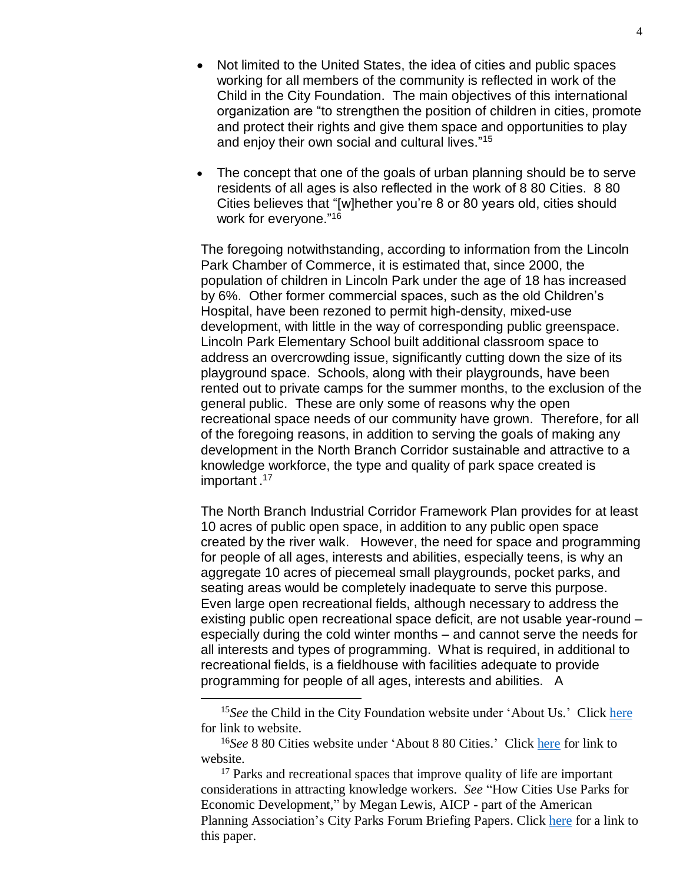- Not limited to the United States, the idea of cities and public spaces working for all members of the community is reflected in work of the Child in the City Foundation. The main objectives of this international organization are "to strengthen the position of children in cities, promote and protect their rights and give them space and opportunities to play and enjoy their own social and cultural lives."<sup>15</sup>
- The concept that one of the goals of urban planning should be to serve residents of all ages is also reflected in the work of 8 80 Cities. 8 80 Cities believes that "[w]hether you're 8 or 80 years old, cities should work for everyone."<sup>16</sup>

The foregoing notwithstanding, according to information from the Lincoln Park Chamber of Commerce, it is estimated that, since 2000, the population of children in Lincoln Park under the age of 18 has increased by 6%. Other former commercial spaces, such as the old Children's Hospital, have been rezoned to permit high-density, mixed-use development, with little in the way of corresponding public greenspace. Lincoln Park Elementary School built additional classroom space to address an overcrowding issue, significantly cutting down the size of its playground space. Schools, along with their playgrounds, have been rented out to private camps for the summer months, to the exclusion of the general public. These are only some of reasons why the open recreational space needs of our community have grown. Therefore, for all of the foregoing reasons, in addition to serving the goals of making any development in the North Branch Corridor sustainable and attractive to a knowledge workforce, the type and quality of park space created is important.<sup>17</sup>

The North Branch Industrial Corridor Framework Plan provides for at least 10 acres of public open space, in addition to any public open space created by the river walk. However, the need for space and programming for people of all ages, interests and abilities, especially teens, is why an aggregate 10 acres of piecemeal small playgrounds, pocket parks, and seating areas would be completely inadequate to serve this purpose. Even large open recreational fields, although necessary to address the existing public open recreational space deficit, are not usable year-round – especially during the cold winter months – and cannot serve the needs for all interests and types of programming. What is required, in additional to recreational fields, is a fieldhouse with facilities adequate to provide programming for people of all ages, interests and abilities. A

 $\overline{a}$ 

<sup>15</sup>*See* the Child in the City Foundation website under 'About Us.' Click [here](https://www.childinthecity.org/about-us/) for link to website.

<sup>&</sup>lt;sup>16</sup>See 8 80 Cities website under 'About 8 80 Cities.' Click [here](https://www.880cities.org/about-8-80-cities/) for link to website.

 $17$  Parks and recreational spaces that improve quality of life are important considerations in attracting knowledge workers. *See* "How Cities Use Parks for Economic Development," by Megan Lewis, AICP - part of the American Planning Association's City Parks Forum Briefing Papers. Click [here](https://www.planning.org/cityparks/briefingpapers/economicdevelopment.htm) for a link to this paper.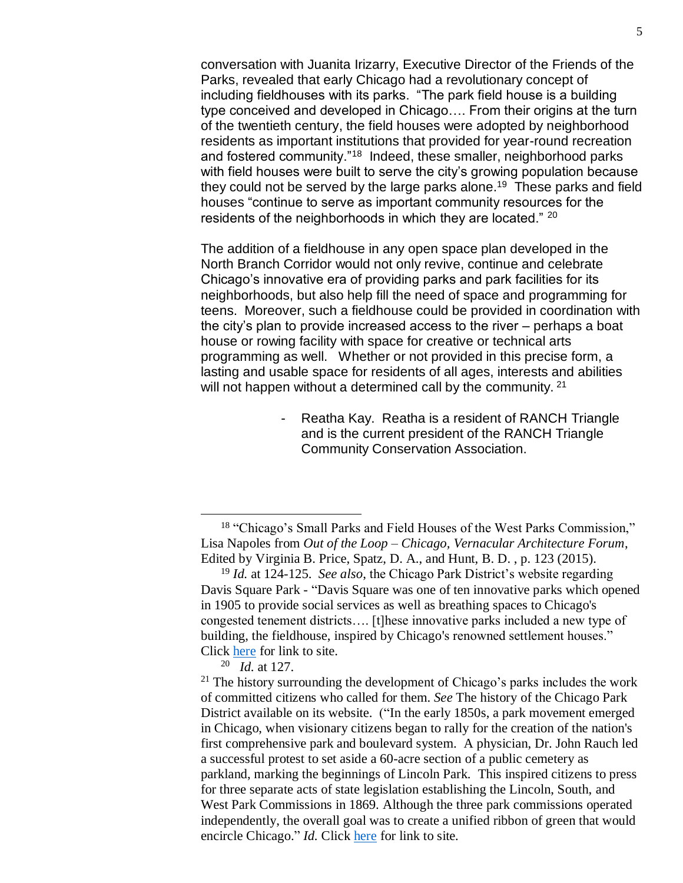conversation with Juanita Irizarry, Executive Director of the Friends of the Parks, revealed that early Chicago had a revolutionary concept of including fieldhouses with its parks. "The park field house is a building type conceived and developed in Chicago…. From their origins at the turn of the twentieth century, the field houses were adopted by neighborhood residents as important institutions that provided for year-round recreation and fostered community."<sup>18</sup> Indeed, these smaller, neighborhood parks with field houses were built to serve the city's growing population because they could not be served by the large parks alone.<sup>19</sup> These parks and field houses "continue to serve as important community resources for the residents of the neighborhoods in which they are located." <sup>20</sup>

The addition of a fieldhouse in any open space plan developed in the North Branch Corridor would not only revive, continue and celebrate Chicago's innovative era of providing parks and park facilities for its neighborhoods, but also help fill the need of space and programming for teens. Moreover, such a fieldhouse could be provided in coordination with the city's plan to provide increased access to the river – perhaps a boat house or rowing facility with space for creative or technical arts programming as well. Whether or not provided in this precise form, a lasting and usable space for residents of all ages, interests and abilities will not happen without a determined call by the community. <sup>21</sup>

> Reatha Kay. Reatha is a resident of RANCH Triangle and is the current president of the RANCH Triangle Community Conservation Association.

 $\overline{a}$ 

<sup>18</sup> "Chicago's Small Parks and Field Houses of the West Parks Commission," Lisa Napoles from *Out of the Loop – Chicago, Vernacular Architecture Forum*, Edited by Virginia B. Price, Spatz, D. A., and Hunt, B. D. , p. 123 (2015).

<sup>19</sup> *Id.* at 124-125. *See also*, the Chicago Park District's website regarding Davis Square Park - "Davis Square was one of ten innovative parks which opened in 1905 to provide social services as well as breathing spaces to Chicago's congested tenement districts…. [t]hese innovative parks included a new type of building, the fieldhouse, inspired by Chicago's renowned settlement houses." Click [here](http://www.chicagoparkdistrict.com/parks/Davis-Square-Park/) for link to site.

<sup>20</sup> *Id.* at 127.

 $21$  The history surrounding the development of Chicago's parks includes the work of committed citizens who called for them. *See* The history of the Chicago Park District available on its website. ("In the early 1850s, a park movement emerged in Chicago, when visionary citizens began to rally for the creation of the nation's first comprehensive park and boulevard system. A physician, Dr. John Rauch led a successful protest to set aside a 60-acre section of a public cemetery as parkland, marking the beginnings of Lincoln Park. This inspired citizens to press for three separate acts of state legislation establishing the Lincoln, South, and West Park Commissions in 1869. Although the three park commissions operated independently, the overall goal was to create a unified ribbon of green that would encircle Chicago." *Id.* Click [here](http://www.chicagoparkdistrict.com/about-us/history/) for link to site*.*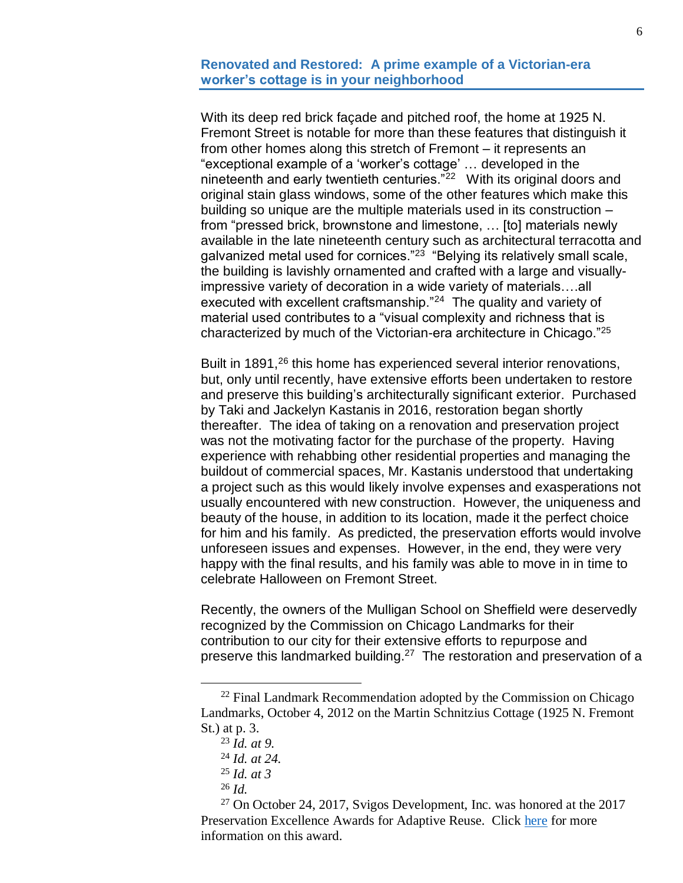#### **Renovated and Restored: A prime example of a Victorian-era worker's cottage is in your neighborhood**

With its deep red brick façade and pitched roof, the home at 1925 N. Fremont Street is notable for more than these features that distinguish it from other homes along this stretch of Fremont – it represents an "exceptional example of a 'worker's cottage' … developed in the nineteenth and early twentieth centuries."<sup>22</sup> With its original doors and original stain glass windows, some of the other features which make this building so unique are the multiple materials used in its construction – from "pressed brick, brownstone and limestone, … [to] materials newly available in the late nineteenth century such as architectural terracotta and galvanized metal used for cornices."<sup>23</sup> "Belying its relatively small scale, the building is lavishly ornamented and crafted with a large and visuallyimpressive variety of decoration in a wide variety of materials….all executed with excellent craftsmanship."<sup>24</sup> The quality and variety of material used contributes to a "visual complexity and richness that is characterized by much of the Victorian-era architecture in Chicago."<sup>25</sup>

Built in 1891,<sup>26</sup> this home has experienced several interior renovations, but, only until recently, have extensive efforts been undertaken to restore and preserve this building's architecturally significant exterior. Purchased by Taki and Jackelyn Kastanis in 2016, restoration began shortly thereafter. The idea of taking on a renovation and preservation project was not the motivating factor for the purchase of the property. Having experience with rehabbing other residential properties and managing the buildout of commercial spaces, Mr. Kastanis understood that undertaking a project such as this would likely involve expenses and exasperations not usually encountered with new construction. However, the uniqueness and beauty of the house, in addition to its location, made it the perfect choice for him and his family. As predicted, the preservation efforts would involve unforeseen issues and expenses. However, in the end, they were very happy with the final results, and his family was able to move in in time to celebrate Halloween on Fremont Street.

Recently, the owners of the Mulligan School on Sheffield were deservedly recognized by the Commission on Chicago Landmarks for their contribution to our city for their extensive efforts to repurpose and preserve this landmarked building.<sup>27</sup> The restoration and preservation of a

 $\overline{a}$ 

<sup>26</sup> *Id.*

 $27$  On October 24, 2017, Svigos Development, Inc. was honored at the 2017 Preservation Excellence Awards for Adaptive Reuse. Click [here](https://www.cityofchicago.org/content/dam/city/depts/dcd/general/Landmarks/Historic%20Preservation/2017HPRESAwards_Former_James_Mullogam_School.pdf) for more information on this award.

 $22$  Final Landmark Recommendation adopted by the Commission on Chicago Landmarks, October 4, 2012 on the Martin Schnitzius Cottage (1925 N. Fremont St.) at p. 3.

<sup>23</sup> *Id. at 9.*

<sup>24</sup> *Id. at 24.*

<sup>25</sup> *Id. at 3*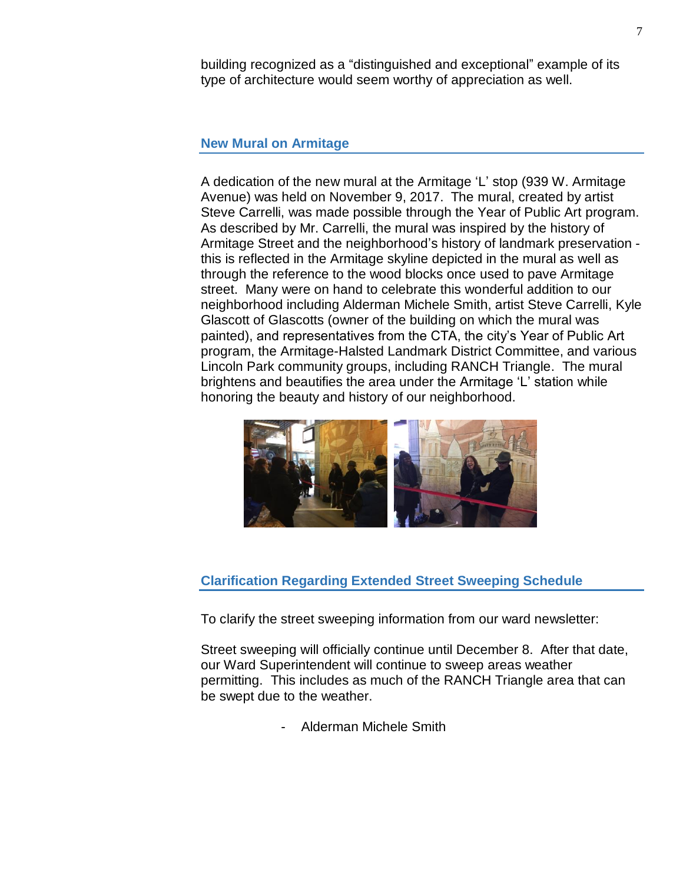building recognized as a "distinguished and exceptional" example of its type of architecture would seem worthy of appreciation as well.

#### **New Mural on Armitage**

A dedication of the new mural at the Armitage 'L' stop (939 W. Armitage Avenue) was held on November 9, 2017. The mural, created by artist Steve Carrelli, was made possible through the Year of Public Art program. As described by Mr. Carrelli, the mural was inspired by the history of Armitage Street and the neighborhood's history of landmark preservation this is reflected in the Armitage skyline depicted in the mural as well as through the reference to the wood blocks once used to pave Armitage street. Many were on hand to celebrate this wonderful addition to our neighborhood including Alderman Michele Smith, artist Steve Carrelli, Kyle Glascott of Glascotts (owner of the building on which the mural was painted), and representatives from the CTA, the city's Year of Public Art program, the Armitage-Halsted Landmark District Committee, and various Lincoln Park community groups, including RANCH Triangle. The mural brightens and beautifies the area under the Armitage 'L' station while honoring the beauty and history of our neighborhood.



### **Clarification Regarding Extended Street Sweeping Schedule**

To clarify the street sweeping information from our ward newsletter:

Street sweeping will officially continue until December 8. After that date, our Ward Superintendent will continue to sweep areas weather permitting. This includes as much of the RANCH Triangle area that can be swept due to the weather.

- Alderman Michele Smith